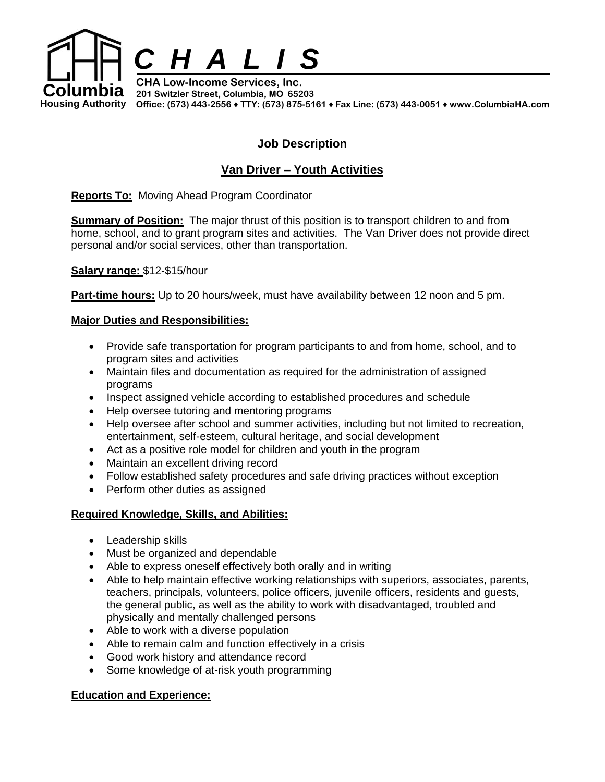

**Housing Authority Office: (573) 443-2556** ♦ **TTY: (573) 875-5161** ♦ **Fax Line: (573) 443-0051** ♦ **www.ColumbiaHA.com**

## **Job Description**

# **Van Driver – Youth Activities**

**Reports To:** Moving Ahead Program Coordinator

**Summary of Position:** The major thrust of this position is to transport children to and from home, school, and to grant program sites and activities. The Van Driver does not provide direct personal and/or social services, other than transportation.

**Salary range:** \$12-\$15/hour

**Part-time hours:** Up to 20 hours/week, must have availability between 12 noon and 5 pm.

### **Major Duties and Responsibilities:**

- Provide safe transportation for program participants to and from home, school, and to program sites and activities
- Maintain files and documentation as required for the administration of assigned programs
- Inspect assigned vehicle according to established procedures and schedule
- Help oversee tutoring and mentoring programs
- Help oversee after school and summer activities, including but not limited to recreation, entertainment, self-esteem, cultural heritage, and social development
- Act as a positive role model for children and youth in the program
- Maintain an excellent driving record
- Follow established safety procedures and safe driving practices without exception
- Perform other duties as assigned

#### **Required Knowledge, Skills, and Abilities:**

- Leadership skills
- Must be organized and dependable
- Able to express oneself effectively both orally and in writing
- Able to help maintain effective working relationships with superiors, associates, parents, teachers, principals, volunteers, police officers, juvenile officers, residents and guests, the general public, as well as the ability to work with disadvantaged, troubled and physically and mentally challenged persons
- Able to work with a diverse population
- Able to remain calm and function effectively in a crisis
- Good work history and attendance record
- Some knowledge of at-risk youth programming

#### **Education and Experience:**